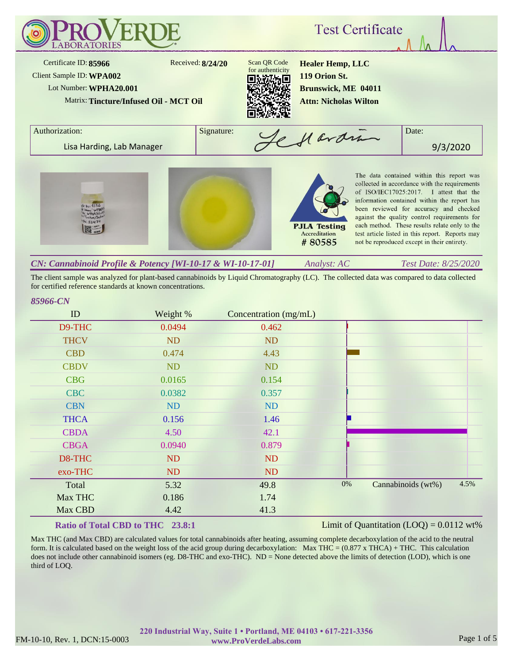

The client sample was analyzed for plant-based cannabinoids by Liquid Chromatography (LC). The collected data was compared to data collected for certified reference standards at known concentrations.

### *85966-CN*

| D9-THC<br>0.0494<br>0.462<br><b>THCV</b><br>ND<br>ND<br><b>CBD</b><br>4.43<br>0.474<br><b>CBDV</b><br><b>ND</b><br><b>ND</b><br><b>CBG</b><br>0.0165<br>0.154<br><b>CBC</b><br>0.0382<br>0.357<br><b>ND</b><br><b>CBN</b><br>ND<br><b>THCA</b><br>0.156<br>1.46<br><b>CBDA</b><br>4.50<br>42.1<br><b>CBGA</b><br>0.0940<br>0.879<br>D8-THC<br>ND<br><b>ND</b><br>exo-THC<br>ND<br>ND<br>4.5%<br>0%<br>Cannabinoids (wt%)<br>Total<br>5.32<br>49.8<br>Max THC<br>1.74<br>0.186<br>Max CBD<br>41.3<br>4.42 | ID | Weight % | Concentration (mg/mL) |  |  |
|----------------------------------------------------------------------------------------------------------------------------------------------------------------------------------------------------------------------------------------------------------------------------------------------------------------------------------------------------------------------------------------------------------------------------------------------------------------------------------------------------------|----|----------|-----------------------|--|--|
|                                                                                                                                                                                                                                                                                                                                                                                                                                                                                                          |    |          |                       |  |  |
|                                                                                                                                                                                                                                                                                                                                                                                                                                                                                                          |    |          |                       |  |  |
|                                                                                                                                                                                                                                                                                                                                                                                                                                                                                                          |    |          |                       |  |  |
|                                                                                                                                                                                                                                                                                                                                                                                                                                                                                                          |    |          |                       |  |  |
|                                                                                                                                                                                                                                                                                                                                                                                                                                                                                                          |    |          |                       |  |  |
|                                                                                                                                                                                                                                                                                                                                                                                                                                                                                                          |    |          |                       |  |  |
|                                                                                                                                                                                                                                                                                                                                                                                                                                                                                                          |    |          |                       |  |  |
|                                                                                                                                                                                                                                                                                                                                                                                                                                                                                                          |    |          |                       |  |  |
|                                                                                                                                                                                                                                                                                                                                                                                                                                                                                                          |    |          |                       |  |  |
|                                                                                                                                                                                                                                                                                                                                                                                                                                                                                                          |    |          |                       |  |  |
|                                                                                                                                                                                                                                                                                                                                                                                                                                                                                                          |    |          |                       |  |  |
|                                                                                                                                                                                                                                                                                                                                                                                                                                                                                                          |    |          |                       |  |  |
|                                                                                                                                                                                                                                                                                                                                                                                                                                                                                                          |    |          |                       |  |  |
|                                                                                                                                                                                                                                                                                                                                                                                                                                                                                                          |    |          |                       |  |  |
|                                                                                                                                                                                                                                                                                                                                                                                                                                                                                                          |    |          |                       |  |  |

## **Ratio of Total CBD to THC 23.8:1**

#### Limit of Quantitation  $(LOO) = 0.0112$  wt%

Max THC (and Max CBD) are calculated values for total cannabinoids after heating, assuming complete decarboxylation of the acid to the neutral form. It is calculated based on the weight loss of the acid group during decarboxylation: Max THC =  $(0.877 \times THCA) + THC$ . This calculation does not include other cannabinoid isomers (eg. D8-THC and exo-THC). ND = None detected above the limits of detection (LOD), which is one third of LOQ.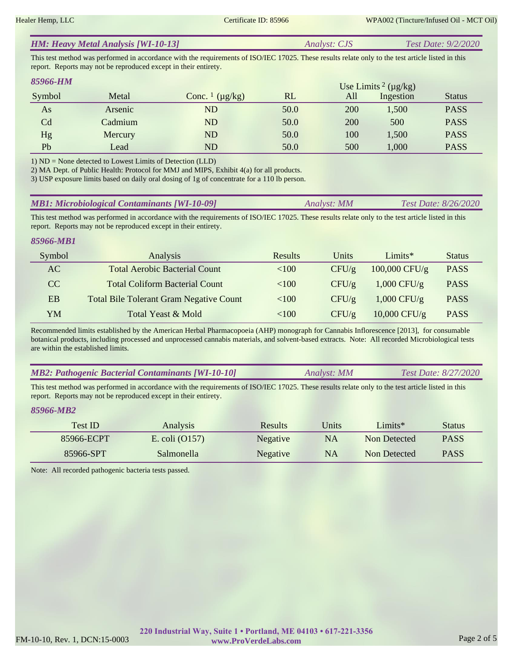| <b>HM: Heavy Metal Analysis [WI-10-13]</b> | <i>Analyst: CJS</i> | <b>Test Date: 9/2/2020</b> |
|--------------------------------------------|---------------------|----------------------------|
|--------------------------------------------|---------------------|----------------------------|

This test method was performed in accordance with the requirements of ISO/IEC 17025. These results relate only to the test article listed in this report. Reports may not be reproduced except in their entirety.

| 85966-HM |         |                                     |      |     | Use Limits <sup>2</sup> ( $\mu$ g/kg) |               |
|----------|---------|-------------------------------------|------|-----|---------------------------------------|---------------|
| Symbol   | Metal   | Conc. $\frac{1}{\mu}$ ( $\mu$ g/kg) | RL   | All | Ingestion                             | <b>Status</b> |
| As       | Arsenic | ND                                  | 50.0 | 200 | 1,500                                 | <b>PASS</b>   |
| Cd       | Cadmium | ND                                  | 50.0 | 200 | 500                                   | <b>PASS</b>   |
| Hg       | Mercury | ND                                  | 50.0 | 100 | 1,500                                 | <b>PASS</b>   |
| Pb       | Lead    | ND                                  | 50.0 | 500 | 1,000                                 | <b>PASS</b>   |

1) ND = None detected to Lowest Limits of Detection (LLD)

2) MA Dept. of Public Health: Protocol for MMJ and MIPS, Exhibit 4(a) for all products.

3) USP exposure limits based on daily oral dosing of 1g of concentrate for a 110 lb person.

| <b>MB1: Microbiological Contaminants [WI-10-09]</b> | Analyst: MM | Test Date: 8/26/2020 |
|-----------------------------------------------------|-------------|----------------------|
|-----------------------------------------------------|-------------|----------------------|

This test method was performed in accordance with the requirements of ISO/IEC 17025. These results relate only to the test article listed in this report. Reports may not be reproduced except in their entirety.

#### *85966-MB1*

| Symbol | Analysis                                       | <b>Results</b> | Units | Limit           | <b>Status</b> |
|--------|------------------------------------------------|----------------|-------|-----------------|---------------|
| AC     | <b>Total Aerobic Bacterial Count</b>           | <100           | CFU/g | $100,000$ CFU/g | <b>PASS</b>   |
| CC     | <b>Total Coliform Bacterial Count</b>          | ${<}100$       | CFU/g | $1,000$ CFU/g   | <b>PASS</b>   |
| EB     | <b>Total Bile Tolerant Gram Negative Count</b> | <100           | CFU/g | $1,000$ CFU/g   | <b>PASS</b>   |
| YM     | Total Yeast & Mold                             | <100           | CFU/g | $10,000$ CFU/g  | <b>PASS</b>   |

Recommended limits established by the American Herbal Pharmacopoeia (AHP) monograph for Cannabis Inflorescence [2013], for consumable botanical products, including processed and unprocessed cannabis materials, and solvent-based extracts. Note: All recorded Microbiological tests are within the established limits.

| <b>MB2: Pathogenic Bacterial Contaminants [WI-10-10]</b> | Analyst: MM | Test Date: 8/27/2020 |
|----------------------------------------------------------|-------------|----------------------|
|----------------------------------------------------------|-------------|----------------------|

This test method was performed in accordance with the requirements of ISO/IEC 17025. These results relate only to the test article listed in this report. Reports may not be reproduced except in their entirety.

#### *85966-MB2*

| <b>Test ID</b> | <b>Analysis</b>  | <b>Results</b>  | Jnits | $Limits*$    | Status      |
|----------------|------------------|-----------------|-------|--------------|-------------|
| 85966-ECPT     | E. coli $(0157)$ | <b>Negative</b> | NA    | Non Detected | <b>PASS</b> |
| 85966-SPT      | Salmonella       | <b>Negative</b> | NA    | Non Detected | <b>PASS</b> |

Note: All recorded pathogenic bacteria tests passed.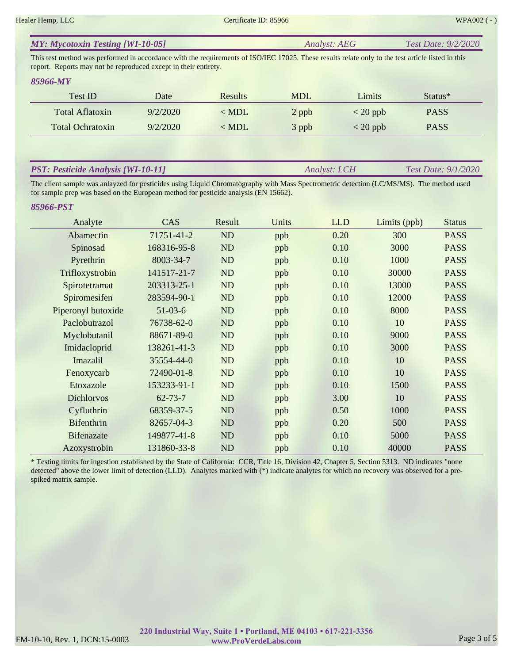*Analyst: LCH Test Date: 9/1/2020*

| <b>MY: Mycotoxin Testing [WI-10-05]</b> | <i><b>Analyst: AEG</b></i> | Test Date: 9/2/2020 |
|-----------------------------------------|----------------------------|---------------------|
|-----------------------------------------|----------------------------|---------------------|

This test method was performed in accordance with the requirements of ISO/IEC 17025. These results relate only to the test article listed in this report. Reports may not be reproduced except in their entirety.

#### *85966-MY*

| <b>Test ID</b>          | Date     | <b>Results</b> | <b>MDL</b> | Limits                           | Status*     |
|-------------------------|----------|----------------|------------|----------------------------------|-------------|
| Total Aflatoxin         | 9/2/2020 | $<$ MDL        | 2 ppb      | $<$ 20 ppb                       | <b>PASS</b> |
| <b>Total Ochratoxin</b> | 9/2/2020 | $<$ MDL        | 3 ppb      | $\langle 20 \text{ ppb} \rangle$ | <b>PASS</b> |

### *PST: Pesticide Analysis [WI-10-11]*

The client sample was anlayzed for pesticides using Liquid Chromatography with Mass Spectrometric detection (LC/MS/MS). The method used for sample prep was based on the European method for pesticide analysis (EN 15662).

#### *85966-PST*

| Analyte            | CAS           | Result         | Units | <b>LLD</b> | Limits (ppb) | <b>Status</b> |
|--------------------|---------------|----------------|-------|------------|--------------|---------------|
| Abamectin          | 71751-41-2    | <b>ND</b>      | ppb   | 0.20       | 300          | <b>PASS</b>   |
| Spinosad           | 168316-95-8   | ND             | ppb   | 0.10       | 3000         | <b>PASS</b>   |
| Pyrethrin          | 8003-34-7     | ND             | ppb   | 0.10       | 1000         | <b>PASS</b>   |
| Trifloxystrobin    | 141517-21-7   | ND             | ppb   | 0.10       | 30000        | <b>PASS</b>   |
| Spirotetramat      | 203313-25-1   | ND             | ppb   | 0.10       | 13000        | <b>PASS</b>   |
| Spiromesifen       | 283594-90-1   | ND             | ppb   | 0.10       | 12000        | <b>PASS</b>   |
| Piperonyl butoxide | $51-03-6$     | ND             | ppb   | 0.10       | 8000         | <b>PASS</b>   |
| Paclobutrazol      | 76738-62-0    | ND             | ppb   | 0.10       | 10           | <b>PASS</b>   |
| Myclobutanil       | 88671-89-0    | ND             | ppb   | 0.10       | 9000         | <b>PASS</b>   |
| Imidacloprid       | 138261-41-3   | ND             | ppb   | 0.10       | 3000         | <b>PASS</b>   |
| Imazalil           | 35554-44-0    | <b>ND</b>      | ppb   | 0.10       | 10           | <b>PASS</b>   |
| Fenoxycarb         | 72490-01-8    | <b>ND</b>      | ppb   | 0.10       | 10           | <b>PASS</b>   |
| Etoxazole          | 153233-91-1   | <b>ND</b>      | ppb   | 0.10       | 1500         | <b>PASS</b>   |
| <b>Dichlorvos</b>  | $62 - 73 - 7$ | <b>ND</b>      | ppb   | 3.00       | 10           | <b>PASS</b>   |
| Cyfluthrin         | 68359-37-5    | <b>ND</b>      | ppb   | 0.50       | 1000         | <b>PASS</b>   |
| <b>Bifenthrin</b>  | 82657-04-3    | N <sub>D</sub> | ppb   | 0.20       | 500          | <b>PASS</b>   |
| <b>Bifenazate</b>  | 149877-41-8   | ND             | ppb   | 0.10       | 5000         | <b>PASS</b>   |
| Azoxystrobin       | 131860-33-8   | ND             | ppb   | 0.10       | 40000        | <b>PASS</b>   |

\* Testing limits for ingestion established by the State of California: CCR, Title 16, Division 42, Chapter 5, Section 5313. ND indicates "none detected" above the lower limit of detection (LLD). Analytes marked with (\*) indicate analytes for which no recovery was observed for a prespiked matrix sample.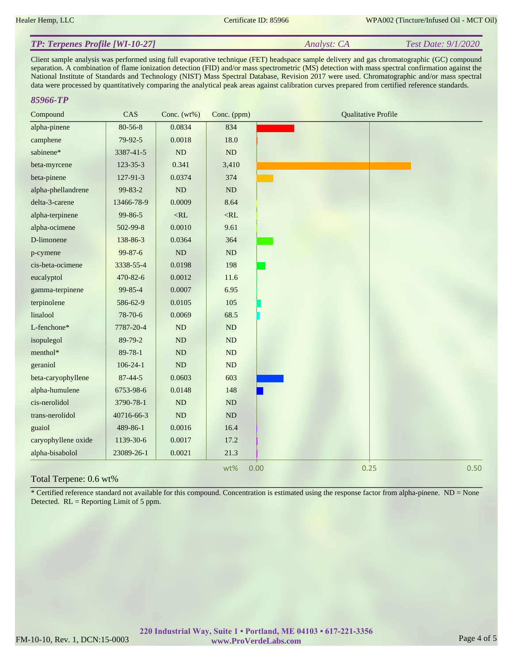#### *Analyst: CA Test Date: 9/1/2020 TP: Terpenes Profile [WI-10-27]*

Client sample analysis was performed using full evaporative technique (FET) headspace sample delivery and gas chromatographic (GC) compound separation. A combination of flame ionization detection (FID) and/or mass spectrometric (MS) detection with mass spectral confirmation against the National Institute of Standards and Technology (NIST) Mass Spectral Database, Revision 2017 were used. Chromatographic and/or mass spectral data were processed by quantitatively comparing the analytical peak areas against calibration curves prepared from certified reference standards.

#### *85966-TP*

| alpha-pinene<br>$80 - 56 - 8$<br>0.0834<br>834<br>79-92-5<br>0.0018<br>18.0<br>camphene<br>sabinene*<br>ND<br>ND<br>3387-41-5<br>0.341<br>$123 - 35 - 3$<br>3,410<br>beta-myrcene<br>beta-pinene<br>127-91-3<br>0.0374<br>374<br>99-83-2<br>$\rm ND$<br>$\rm ND$<br>alpha-phellandrene<br>delta-3-carene<br>13466-78-9<br>0.0009<br>8.64 |      |
|------------------------------------------------------------------------------------------------------------------------------------------------------------------------------------------------------------------------------------------------------------------------------------------------------------------------------------------|------|
|                                                                                                                                                                                                                                                                                                                                          |      |
|                                                                                                                                                                                                                                                                                                                                          |      |
|                                                                                                                                                                                                                                                                                                                                          |      |
|                                                                                                                                                                                                                                                                                                                                          |      |
|                                                                                                                                                                                                                                                                                                                                          |      |
|                                                                                                                                                                                                                                                                                                                                          |      |
|                                                                                                                                                                                                                                                                                                                                          |      |
| alpha-terpinene<br>99-86-5<br>$<$ RL<br>$<\!\!RL$                                                                                                                                                                                                                                                                                        |      |
| 0.0010<br>9.61<br>alpha-ocimene<br>502-99-8                                                                                                                                                                                                                                                                                              |      |
| D-limonene<br>0.0364<br>364<br>138-86-3                                                                                                                                                                                                                                                                                                  |      |
| 99-87-6<br>ND<br>$\rm ND$<br>p-cymene                                                                                                                                                                                                                                                                                                    |      |
| 0.0198<br>198<br>cis-beta-ocimene<br>3338-55-4                                                                                                                                                                                                                                                                                           |      |
| eucalyptol<br>470-82-6<br>0.0012<br>11.6                                                                                                                                                                                                                                                                                                 |      |
| 6.95<br>gamma-terpinene<br>99-85-4<br>0.0007                                                                                                                                                                                                                                                                                             |      |
| 0.0105<br>terpinolene<br>586-62-9<br>105                                                                                                                                                                                                                                                                                                 |      |
| linalool<br>0.0069<br>68.5<br>78-70-6                                                                                                                                                                                                                                                                                                    |      |
| L-fenchone*<br>$\rm ND$<br>ND<br>7787-20-4                                                                                                                                                                                                                                                                                               |      |
| ND<br>ND<br>isopulegol<br>89-79-2                                                                                                                                                                                                                                                                                                        |      |
| menthol*<br>ND<br>89-78-1<br>ND                                                                                                                                                                                                                                                                                                          |      |
| geraniol<br>$106 - 24 - 1$<br>ND<br>ND                                                                                                                                                                                                                                                                                                   |      |
| 603<br>beta-caryophyllene<br>$87 - 44 - 5$<br>0.0603                                                                                                                                                                                                                                                                                     |      |
| alpha-humulene<br>6753-98-6<br>0.0148<br>148                                                                                                                                                                                                                                                                                             |      |
| cis-nerolidol<br>ND<br>ND<br>3790-78-1                                                                                                                                                                                                                                                                                                   |      |
| ND<br>$\rm ND$<br>trans-nerolidol<br>40716-66-3                                                                                                                                                                                                                                                                                          |      |
| guaiol<br>0.0016<br>489-86-1<br>16.4                                                                                                                                                                                                                                                                                                     |      |
| caryophyllene oxide<br>1139-30-6<br>0.0017<br>17.2                                                                                                                                                                                                                                                                                       |      |
| alpha-bisabolol<br>23089-26-1<br>0.0021<br>21.3                                                                                                                                                                                                                                                                                          |      |
| 0.25<br>wt%<br>0.00                                                                                                                                                                                                                                                                                                                      | 0.50 |

### Total Terpene: 0.6 wt%

\* Certified reference standard not available for this compound. Concentration is estimated using the response factor from alpha-pinene. ND = None Detected. RL = Reporting Limit of 5 ppm.